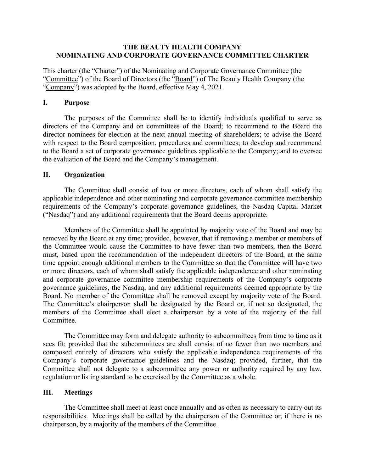### **THE BEAUTY HEALTH COMPANY NOMINATING AND CORPORATE GOVERNANCE COMMITTEE CHARTER**

This charter (the "Charter") of the Nominating and Corporate Governance Committee (the "Committee") of the Board of Directors (the "Board") of The Beauty Health Company (the "Company") was adopted by the Board, effective May 4, 2021.

#### **I. Purpose**

The purposes of the Committee shall be to identify individuals qualified to serve as directors of the Company and on committees of the Board; to recommend to the Board the director nominees for election at the next annual meeting of shareholders; to advise the Board with respect to the Board composition, procedures and committees; to develop and recommend to the Board a set of corporate governance guidelines applicable to the Company; and to oversee the evaluation of the Board and the Company's management.

### **II. Organization**

The Committee shall consist of two or more directors, each of whom shall satisfy the applicable independence and other nominating and corporate governance committee membership requirements of the Company's corporate governance guidelines, the Nasdaq Capital Market ("Nasdaq") and any additional requirements that the Board deems appropriate.

Members of the Committee shall be appointed by majority vote of the Board and may be removed by the Board at any time; provided, however, that if removing a member or members of the Committee would cause the Committee to have fewer than two members, then the Board must, based upon the recommendation of the independent directors of the Board, at the same time appoint enough additional members to the Committee so that the Committee will have two or more directors, each of whom shall satisfy the applicable independence and other nominating and corporate governance committee membership requirements of the Company's corporate governance guidelines, the Nasdaq, and any additional requirements deemed appropriate by the Board. No member of the Committee shall be removed except by majority vote of the Board. The Committee's chairperson shall be designated by the Board or, if not so designated, the members of the Committee shall elect a chairperson by a vote of the majority of the full Committee.

The Committee may form and delegate authority to subcommittees from time to time as it sees fit; provided that the subcommittees are shall consist of no fewer than two members and composed entirely of directors who satisfy the applicable independence requirements of the Company's corporate governance guidelines and the Nasdaq; provided, further, that the Committee shall not delegate to a subcommittee any power or authority required by any law, regulation or listing standard to be exercised by the Committee as a whole.

## **III. Meetings**

The Committee shall meet at least once annually and as often as necessary to carry out its responsibilities. Meetings shall be called by the chairperson of the Committee or, if there is no chairperson, by a majority of the members of the Committee.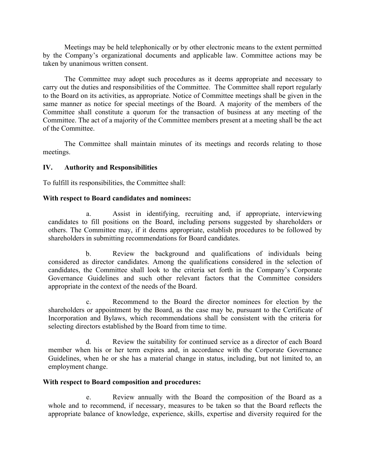Meetings may be held telephonically or by other electronic means to the extent permitted by the Company's organizational documents and applicable law. Committee actions may be taken by unanimous written consent.

The Committee may adopt such procedures as it deems appropriate and necessary to carry out the duties and responsibilities of the Committee. The Committee shall report regularly to the Board on its activities, as appropriate. Notice of Committee meetings shall be given in the same manner as notice for special meetings of the Board. A majority of the members of the Committee shall constitute a quorum for the transaction of business at any meeting of the Committee. The act of a majority of the Committee members present at a meeting shall be the act of the Committee.

The Committee shall maintain minutes of its meetings and records relating to those meetings.

## **IV. Authority and Responsibilities**

To fulfill its responsibilities, the Committee shall:

### **With respect to Board candidates and nominees:**

a. Assist in identifying, recruiting and, if appropriate, interviewing candidates to fill positions on the Board, including persons suggested by shareholders or others. The Committee may, if it deems appropriate, establish procedures to be followed by shareholders in submitting recommendations for Board candidates.

b. Review the background and qualifications of individuals being considered as director candidates. Among the qualifications considered in the selection of candidates, the Committee shall look to the criteria set forth in the Company's Corporate Governance Guidelines and such other relevant factors that the Committee considers appropriate in the context of the needs of the Board.

c. Recommend to the Board the director nominees for election by the shareholders or appointment by the Board, as the case may be, pursuant to the Certificate of Incorporation and Bylaws, which recommendations shall be consistent with the criteria for selecting directors established by the Board from time to time.

d. Review the suitability for continued service as a director of each Board member when his or her term expires and, in accordance with the Corporate Governance Guidelines, when he or she has a material change in status, including, but not limited to, an employment change.

## **With respect to Board composition and procedures:**

e. Review annually with the Board the composition of the Board as a whole and to recommend, if necessary, measures to be taken so that the Board reflects the appropriate balance of knowledge, experience, skills, expertise and diversity required for the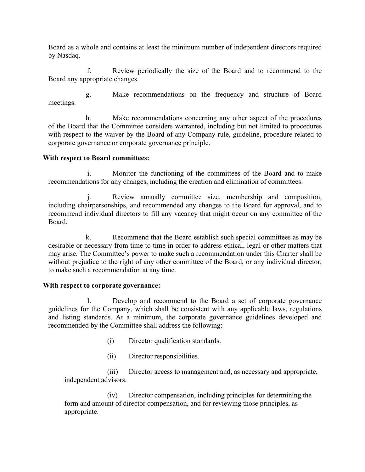Board as a whole and contains at least the minimum number of independent directors required by Nasdaq.

f. Review periodically the size of the Board and to recommend to the Board any appropriate changes.

g. Make recommendations on the frequency and structure of Board meetings.

h. Make recommendations concerning any other aspect of the procedures of the Board that the Committee considers warranted, including but not limited to procedures with respect to the waiver by the Board of any Company rule, guideline, procedure related to corporate governance or corporate governance principle.

# **With respect to Board committees:**

i. Monitor the functioning of the committees of the Board and to make recommendations for any changes, including the creation and elimination of committees.

j. Review annually committee size, membership and composition, including chairpersonships, and recommended any changes to the Board for approval, and to recommend individual directors to fill any vacancy that might occur on any committee of the Board.

k. Recommend that the Board establish such special committees as may be desirable or necessary from time to time in order to address ethical, legal or other matters that may arise. The Committee's power to make such a recommendation under this Charter shall be without prejudice to the right of any other committee of the Board, or any individual director, to make such a recommendation at any time.

## **With respect to corporate governance:**

l. Develop and recommend to the Board a set of corporate governance guidelines for the Company, which shall be consistent with any applicable laws, regulations and listing standards. At a minimum, the corporate governance guidelines developed and recommended by the Committee shall address the following:

- (i) Director qualification standards.
- (ii) Director responsibilities.

(iii) Director access to management and, as necessary and appropriate, independent advisors.

(iv) Director compensation, including principles for determining the form and amount of director compensation, and for reviewing those principles, as appropriate.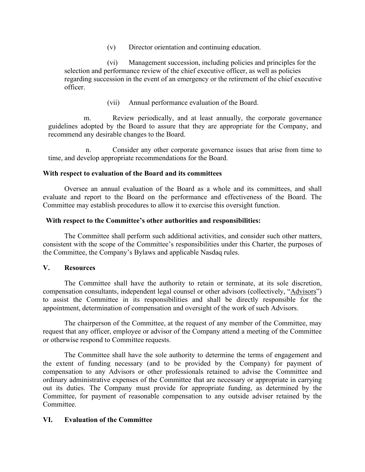(v) Director orientation and continuing education.

(vi) Management succession, including policies and principles for the selection and performance review of the chief executive officer, as well as policies regarding succession in the event of an emergency or the retirement of the chief executive officer.

(vii) Annual performance evaluation of the Board.

m. Review periodically, and at least annually, the corporate governance guidelines adopted by the Board to assure that they are appropriate for the Company, and recommend any desirable changes to the Board.

n. Consider any other corporate governance issues that arise from time to time, and develop appropriate recommendations for the Board.

### **With respect to evaluation of the Board and its committees**

Oversee an annual evaluation of the Board as a whole and its committees, and shall evaluate and report to the Board on the performance and effectiveness of the Board. The Committee may establish procedures to allow it to exercise this oversight function.

#### **With respect to the Committee's other authorities and responsibilities:**

The Committee shall perform such additional activities, and consider such other matters, consistent with the scope of the Committee's responsibilities under this Charter, the purposes of the Committee, the Company's Bylaws and applicable Nasdaq rules.

#### **V. Resources**

The Committee shall have the authority to retain or terminate, at its sole discretion, compensation consultants, independent legal counsel or other advisors (collectively, "Advisors") to assist the Committee in its responsibilities and shall be directly responsible for the appointment, determination of compensation and oversight of the work of such Advisors.

The chairperson of the Committee, at the request of any member of the Committee, may request that any officer, employee or advisor of the Company attend a meeting of the Committee or otherwise respond to Committee requests.

The Committee shall have the sole authority to determine the terms of engagement and the extent of funding necessary (and to be provided by the Company) for payment of compensation to any Advisors or other professionals retained to advise the Committee and ordinary administrative expenses of the Committee that are necessary or appropriate in carrying out its duties. The Company must provide for appropriate funding, as determined by the Committee, for payment of reasonable compensation to any outside adviser retained by the Committee.

## **VI. Evaluation of the Committee**